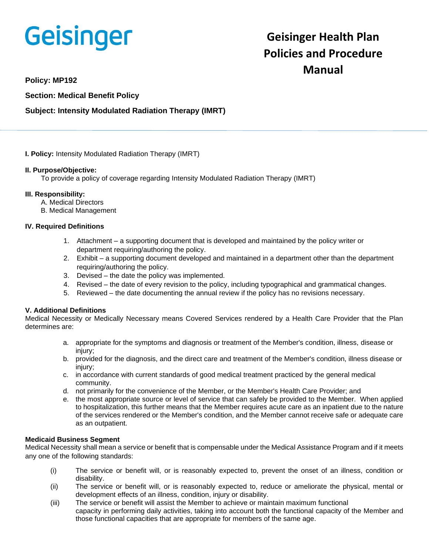# **Geisinger**

# **Geisinger Health Plan Policies and Procedure Manual**

**Policy: MP192**

**Section: Medical Benefit Policy**

# **Subject: Intensity Modulated Radiation Therapy (IMRT)**

**I. Policy:** Intensity Modulated Radiation Therapy (IMRT)

#### **II. Purpose/Objective:**

To provide a policy of coverage regarding Intensity Modulated Radiation Therapy (IMRT)

#### **III. Responsibility:**

- A. Medical Directors
- B. Medical Management

# **IV. Required Definitions**

- 1. Attachment a supporting document that is developed and maintained by the policy writer or department requiring/authoring the policy.
- 2. Exhibit a supporting document developed and maintained in a department other than the department requiring/authoring the policy.
- 3. Devised the date the policy was implemented.
- 4. Revised the date of every revision to the policy, including typographical and grammatical changes.
- 5. Reviewed the date documenting the annual review if the policy has no revisions necessary.

# **V. Additional Definitions**

Medical Necessity or Medically Necessary means Covered Services rendered by a Health Care Provider that the Plan determines are:

- a. appropriate for the symptoms and diagnosis or treatment of the Member's condition, illness, disease or injury;
- b. provided for the diagnosis, and the direct care and treatment of the Member's condition, illness disease or injury;
- c. in accordance with current standards of good medical treatment practiced by the general medical community.
- d. not primarily for the convenience of the Member, or the Member's Health Care Provider; and
- e. the most appropriate source or level of service that can safely be provided to the Member. When applied to hospitalization, this further means that the Member requires acute care as an inpatient due to the nature of the services rendered or the Member's condition, and the Member cannot receive safe or adequate care as an outpatient.

#### **Medicaid Business Segment**

Medical Necessity shall mean a service or benefit that is compensable under the Medical Assistance Program and if it meets any one of the following standards:

- (i) The service or benefit will, or is reasonably expected to, prevent the onset of an illness, condition or disability.
- (ii) The service or benefit will, or is reasonably expected to, reduce or ameliorate the physical, mental or development effects of an illness, condition, injury or disability.
- (iii) The service or benefit will assist the Member to achieve or maintain maximum functional capacity in performing daily activities, taking into account both the functional capacity of the Member and those functional capacities that are appropriate for members of the same age.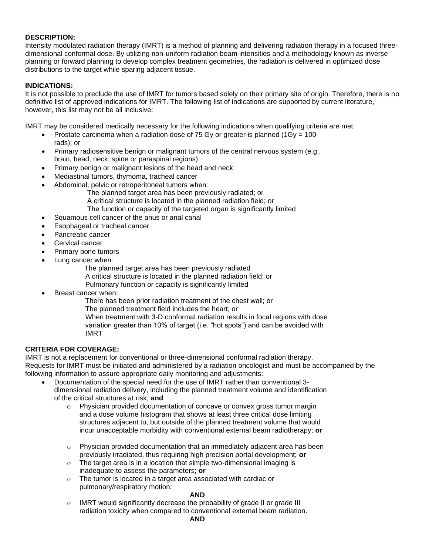## **DESCRIPTION:**

Intensity modulated radiation therapy (IMRT) is a method of planning and delivering radiation therapy in a focused threedimensional conformal dose. By utilizing non-uniform radiation beam intensities and a methodology known as inverse planning or forward planning to develop complex treatment geometries, the radiation is delivered in optimized dose distributions to the target while sparing adjacent tissue.

## **INDICATIONS:**

It is not possible to preclude the use of IMRT for tumors based solely on their primary site of origin. Therefore, there is no definitive list of approved indications for IMRT. The following list of indications are supported by current literature, however, this list may not be all inclusive:

IMRT may be considered medically necessary for the following indications when qualifying criteria are met:

- Prostate carcinoma when a radiation dose of 75 Gy or greater is planned ( $1\text{Gy} = 100$ ) rads); or
- Primary radiosensitive benign or malignant tumors of the central nervous system (e.g., brain, head, neck, spine or paraspinal regions)
- Primary benign or malignant lesions of the head and neck
- Mediastinal tumors, thymoma, tracheal cancer
- Abdominal, pelvic or retroperitoneal tumors when:
	- The planned target area has been previously radiated; or
	- A critical structure is located in the planned radiation field; or
	- The function or capacity of the targeted organ is significantly limited
- Squamous cell cancer of the anus or anal canal
- Esophageal or tracheal cancer
- Pancreatic cancer
- Cervical cancer
- Primary bone tumors
- Lung cancer when:
	- The planned target area has been previously radiated
	- A critical structure is located in the planned radiation field; or
	- Pulmonary function or capacity is significantly limited
- Breast cancer when:
	- There has been prior radiation treatment of the chest wall; or
	- The planned treatment field includes the heart; or
	- When treatment with 3-D conformal radiation results in focal regions with dose variation greater than 10% of target (i.e. "hot spots") and can be avoided with IMRT

# **CRITERIA FOR COVERAGE:**

IMRT is not a replacement for conventional or three-dimensional conformal radiation therapy. Requests for IMRT must be initiated and administered by a radiation oncologist and must be accompanied by the following information to assure appropriate daily monitoring and adjustments:

- Documentation of the special need for the use of IMRT rather than conventional 3 dimensional radiation delivery, including the planned treatment volume and identification of the critical structures at risk; **and**
	- $\circ$  Physician provided documentation of concave or convex gross tumor margin and a dose volume histogram that shows at least three critical dose limiting structures adjacent to, but outside of the planned treatment volume that would incur unacceptable morbidity with conventional external beam radiotherapy; **or**
	- o Physician provided documentation that an immediately adjacent area has been previously irradiated, thus requiring high precision portal development; **or**
	- o The target area is in a location that simple two-dimensional imaging is inadequate to assess the parameters; **or**
	- o The tumor is located in a target area associated with cardiac or pulmonary/respiratory motion;

#### **AND**

 $\circ$  IMRT would significantly decrease the probability of grade II or grade III radiation toxicity when compared to conventional external beam radiation.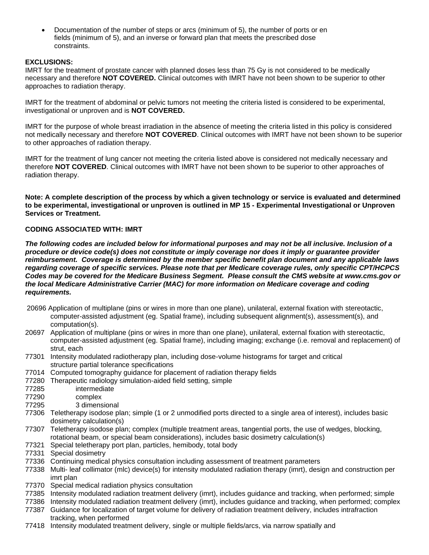• Documentation of the number of steps or arcs (minimum of 5), the number of ports or en fields (minimum of 5), and an inverse or forward plan that meets the prescribed dose constraints.

# **EXCLUSIONS:**

IMRT for the treatment of prostate cancer with planned doses less than 75 Gy is not considered to be medically necessary and therefore **NOT COVERED.** Clinical outcomes with IMRT have not been shown to be superior to other approaches to radiation therapy.

IMRT for the treatment of abdominal or pelvic tumors not meeting the criteria listed is considered to be experimental, investigational or unproven and is **NOT COVERED.**

IMRT for the purpose of whole breast irradiation in the absence of meeting the criteria listed in this policy is considered not medically necessary and therefore **NOT COVERED**. Clinical outcomes with IMRT have not been shown to be superior to other approaches of radiation therapy.

IMRT for the treatment of lung cancer not meeting the criteria listed above is considered not medically necessary and therefore **NOT COVERED**. Clinical outcomes with IMRT have not been shown to be superior to other approaches of radiation therapy.

**Note: A complete description of the process by which a given technology or service is evaluated and determined to be experimental, investigational or unproven is outlined in MP 15 - Experimental Investigational or Unproven Services or Treatment.**

# **CODING ASSOCIATED WITH: IMRT**

*The following codes are included below for informational purposes and may not be all inclusive. Inclusion of a procedure or device code(s) does not constitute or imply coverage nor does it imply or guarantee provider reimbursement. Coverage is determined by the member specific benefit plan document and any applicable laws regarding coverage of specific services. Please note that per Medicare coverage rules, only specific CPT/HCPCS Codes may be covered for the Medicare Business Segment. Please consult the CMS website at www.cms.gov or the local Medicare Administrative Carrier (MAC) for more information on Medicare coverage and coding requirements.*

- 20696 Application of multiplane (pins or wires in more than one plane), unilateral, external fixation with stereotactic, computer-assisted adjustment (eg. Spatial frame), including subsequent alignment(s), assessment(s), and computation(s).
- 20697 Application of multiplane (pins or wires in more than one plane), unilateral, external fixation with stereotactic, computer-assisted adjustment (eg. Spatial frame), including imaging; exchange (i.e. removal and replacement) of strut, each
- 77301 Intensity modulated radiotherapy plan, including dose-volume histograms for target and critical structure partial tolerance specifications
- 77014 Computed tomography guidance for placement of radiation therapy fields
- 77280 Therapeutic radiology simulation-aided field setting, simple
- 77285 intermediate
- 77290 complex
- 77295 3 dimensional
- 77306 Teletherapy isodose plan; simple (1 or 2 unmodified ports directed to a single area of interest), includes basic dosimetry calculation(s)
- 77307 Teletherapy isodose plan; complex (multiple treatment areas, tangential ports, the use of wedges, blocking, rotational beam, or special beam considerations), includes basic dosimetry calculation(s)
- 77321 Special teletherapy port plan, particles, hemibody, total body
- 77331 Special dosimetry
- 77336 Continuing medical physics consultation including assessment of treatment parameters
- 77338 Multi- leaf collimator (mlc) device(s) for intensity modulated radiation therapy (imrt), design and construction per imrt plan
- 77370 Special medical radiation physics consultation
- 77385 Intensity modulated radiation treatment delivery (imrt), includes guidance and tracking, when performed; simple
- 77386 Intensity modulated radiation treatment delivery (imrt), includes guidance and tracking, when performed; complex
- 77387 Guidance for localization of target volume for delivery of radiation treatment delivery, includes intrafraction tracking, when performed
- 77418 Intensity modulated treatment delivery, single or multiple fields/arcs, via narrow spatially and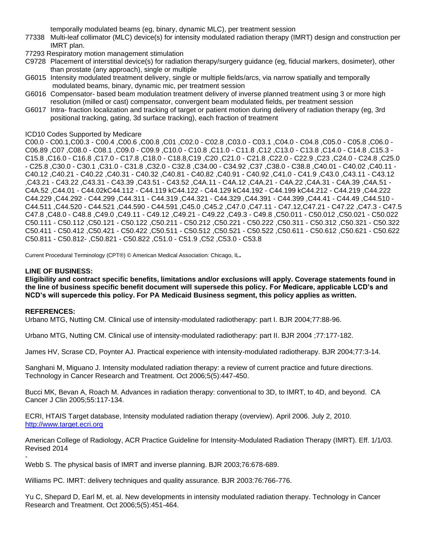temporally modulated beams (eg, binary, dynamic MLC), per treatment session

77338 Multi-leaf collimator (MLC) device(s) for intensity modulated radiation therapy (IMRT) design and construction per IMRT plan.

77293 Respiratory motion management stimulation

- C9728 Placement of interstitial device(s) for radiation therapy/surgery guidance (eg, fiducial markers, dosimeter), other than prostate (any approach), single or multiple
- G6015 Intensity modulated treatment delivery, single or multiple fields/arcs, via narrow spatially and temporally modulated beams, binary, dynamic mic, per treatment session
- G6016 Compensator- based beam modulation treatment delivery of inverse planned treatment using 3 or more high resolution (milled or cast) compensator, convergent beam modulated fields, per treatment session
- G6017 Intra- fraction localization and tracking of target or patient motion during delivery of radiation therapy (eg, 3rd positional tracking, gating, 3d surface tracking), each fraction of treatment

#### ICD10 Codes Supported by Medicare

C00.0 - C00.1,C00.3 - C00.4 ,C00.6 ,C00.8 ,C01 ,C02.0 - C02.8 ,C03.0 - C03.1 ,C04.0 - C04.8 ,C05.0 - C05.8 ,C06.0 - C06.89 ,C07 ,C08.0 - C08.1 ,C09.0 - C09.9 ,C10.0 - C10.8 ,C11.0 - C11.8 ,C12 ,C13.0 - C13.8 ,C14.0 - C14.8 ,C15.3 - C15.8 ,C16.0 - C16.8 ,C17.0 - C17.8 ,C18.0 - C18.8,C19 ,C20 ,C21.0 - C21.8 ,C22.0 - C22.9 ,C23 ,C24.0 - C24.8 ,C25.0 - C25.8 ,C30.0 - C30.1 ,C31.0 - C31.8 ,C32.0 - C32.8 ,C34.00 - C34.92 ,C37 ,C38.0 - C38.8 ,C40.01 - C40.02 ,C40.11 - C40.12 ,C40.21 - C40.22 ,C40.31 - C40.32 ,C40.81 - C40.82 ,C40.91 - C40.92 ,C41.0 - C41.9 ,C43.0 ,C43.11 - C43.12 ,C43.21 - C43.22 ,C43.31 - C43.39 ,C43.51 - C43.52 ,C4A.11 - C4A.12 ,C4A.21 - C4A.22 ,C4A.31 - C4A.39 ,C4A.51 - C4A.52 ,C44.01 - C44.02kC44.112 - C44.119 kC44.122 - C44.129 kC44.192 - C44.199 kC44.212 - C44.219 ,C44.222 C44.229 ,C44.292 - C44.299 ,C44.311 - C44.319 ,C44.321 - C44.329 ,C44.391 - C44.399 ,C44.41 - C44.49 ,C44.510 - C44.511 ,C44.520 - C44.521 ,C44.590 - C44.591 ,C45.0 ,C45.2 ,C47.0 ,C47.11 - C47.12,C47.21 - C47.22 ,C47.3 - C47.5 C47.8 ,C48.0 - C48.8 ,C49.0 ,C49.11 - C49.12 ,C49.21 - C49.22 ,C49.3 - C49.8 ,C50.011 - C50.012 ,C50.021 - C50.022 C50.111 - C50.112 ,C50.121 - C50.122 ,C50.211 - C50.212 ,C50.221 - C50.222 ,C50.311 - C50.312 ,C50.321 - C50.322 C50.411 - C50.412 ,C50.421 - C50.422 ,C50.511 - C50.512 ,C50.521 - C50.522 ,C50.611 - C50.612 ,C50.621 - C50.622 C50.811 - C50.812- ,C50.821 - C50.822 ,C51.0 - C51.9 ,C52 ,C53.0 - C53.8

Current Procedural Terminology (CPT®) © American Medical Association: Chicago, IL**.**

#### **LINE OF BUSINESS:**

**Eligibility and contract specific benefits, limitations and/or exclusions will apply. Coverage statements found in the line of business specific benefit document will supersede this policy. For Medicare, applicable LCD's and NCD's will supercede this policy. For PA Medicaid Business segment, this policy applies as written.**

#### **REFERENCES:**

Urbano MTG, Nutting CM. Clinical use of intensity-modulated radiotherapy: part I. BJR 2004;77:88-96.

Urbano MTG, Nutting CM. Clinical use of intensity-modulated radiotherapy: part II. BJR 2004 ;77:177-182.

James HV, Scrase CD, Poynter AJ. Practical experience with intensity-modulated radiotherapy. BJR 2004;77:3-14.

Sanghani M, Miguano J. Intensity modulated radiation therapy: a review of current practice and future directions. Technology in Cancer Research and Treatment. Oct 2006;5(5):447-450.

Bucci MK, Bevan A, Roach M. Advances in radiation therapy: conventional to 3D, to IMRT, to 4D, and beyond. CA Cancer J Clin 2005;55:117-134.

ECRI, HTAIS Target database, Intensity modulated radiation therapy (overview). April 2006. July 2, 2010. [http://www.target.ecri.org](http://www.target.ecri.org/)

American College of Radiology, ACR Practice Guideline for Intensity-Modulated Radiation Therapy (IMRT). Eff. 1/1/03. Revised 2014

- Webb S. The physical basis of IMRT and inverse planning. BJR 2003;76:678-689.

Williams PC. IMRT: delivery techniques and quality assurance. BJR 2003:76:766-776.

Yu C, Shepard D, Earl M, et. al. New developments in intensity modulated radiation therapy. Technology in Cancer Research and Treatment. Oct 2006;5(5):451-464.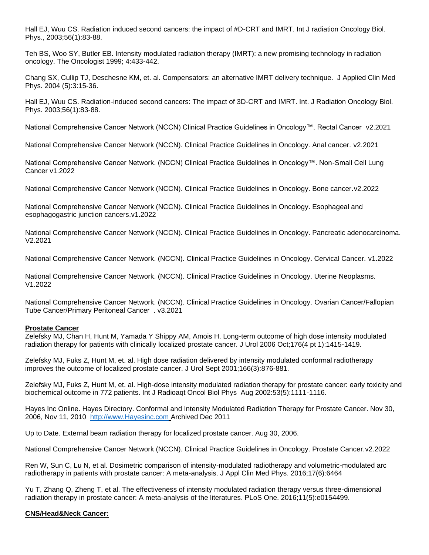Hall EJ, Wuu CS. Radiation induced second cancers: the impact of #D-CRT and IMRT. Int J radiation Oncology Biol. Phys., 2003;56(1):83-88.

Teh BS, Woo SY, Butler EB. Intensity modulated radiation therapy (IMRT): a new promising technology in radiation oncology. The Oncologist 1999; 4:433-442.

Chang SX, Cullip TJ, Deschesne KM, et. al. Compensators: an alternative IMRT delivery technique. J Applied Clin Med Phys. 2004 (5):3:15-36.

Hall EJ, Wuu CS. Radiation-induced second cancers: The impact of 3D-CRT and IMRT. Int. J Radiation Oncology Biol. Phys. 2003;56(1):83-88.

National Comprehensive Cancer Network (NCCN) Clinical Practice Guidelines in Oncology™. Rectal Cancer v2.2021

National Comprehensive Cancer Network (NCCN). Clinical Practice Guidelines in Oncology. Anal cancer. v2.2021

National Comprehensive Cancer Network. (NCCN) Clinical Practice Guidelines in Oncology™. Non-Small Cell Lung Cancer v1.2022

National Comprehensive Cancer Network (NCCN). Clinical Practice Guidelines in Oncology. Bone cancer.v2.2022

National Comprehensive Cancer Network (NCCN). Clinical Practice Guidelines in Oncology. Esophageal and esophagogastric junction cancers.v1.2022

National Comprehensive Cancer Network (NCCN). Clinical Practice Guidelines in Oncology. Pancreatic adenocarcinoma. V2.2021

National Comprehensive Cancer Network. (NCCN). Clinical Practice Guidelines in Oncology. Cervical Cancer. v1.2022

National Comprehensive Cancer Network. (NCCN). Clinical Practice Guidelines in Oncology. Uterine Neoplasms. V1.2022

National Comprehensive Cancer Network. (NCCN). Clinical Practice Guidelines in Oncology. Ovarian Cancer/Fallopian Tube Cancer/Primary Peritoneal Cancer . v3.2021

#### **Prostate Cancer**

Zelefsky MJ, Chan H, Hunt M, Yamada Y Shippy AM, Amois H. Long-term outcome of high dose intensity modulated radiation therapy for patients with clinically localized prostate cancer. J Urol 2006 Oct;176(4 pt 1):1415-1419.

Zelefsky MJ, Fuks Z, Hunt M, et. al. High dose radiation delivered by intensity modulated conformal radiotherapy improves the outcome of localized prostate cancer. J Urol Sept 2001;166(3):876-881.

Zelefsky MJ, Fuks Z, Hunt M, et. al. High-dose intensity modulated radiation therapy for prostate cancer: early toxicity and biochemical outcome in 772 patients. Int J Radioaqt Oncol Biol Phys Aug 2002:53(5):1111-1116.

Hayes Inc Online. Hayes Directory. Conformal and Intensity Modulated Radiation Therapy for Prostate Cancer. Nov 30, 2006, Nov 11, 2010 [http://www.Hayesinc.com](http://www.hayesinc.com/) Archived Dec 2011

Up to Date. External beam radiation therapy for localized prostate cancer. Aug 30, 2006.

National Comprehensive Cancer Network (NCCN). Clinical Practice Guidelines in Oncology. Prostate Cancer.v2.2022

Ren W, Sun C, Lu N, et al. Dosimetric comparison of intensity-modulated radiotherapy and volumetric-modulated arc radiotherapy in patients with prostate cancer: A meta-analysis. J Appl Clin Med Phys. 2016;17(6):6464

Yu T, Zhang Q, Zheng T, et al. The effectiveness of intensity modulated radiation therapy versus three-dimensional radiation therapy in prostate cancer: A meta-analysis of the literatures. PLoS One. 2016;11(5):e0154499.

# **CNS/Head&Neck Cancer:**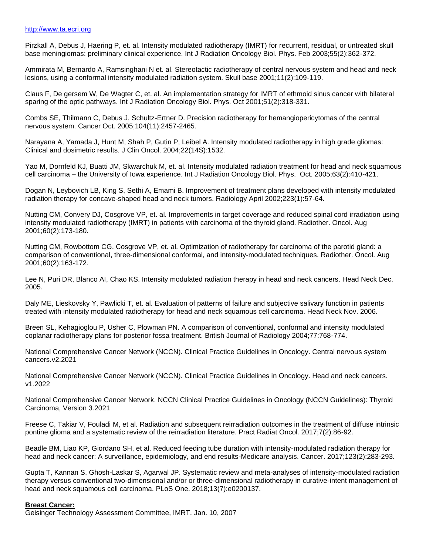#### [http://www.ta.ecri.org](http://www.ta.ecri.org/)

Pirzkall A, Debus J, Haering P, et. al. Intensity modulated radiotherapy (IMRT) for recurrent, residual, or untreated skull base meningiomas: preliminary clinical experience. Int J Radiation Oncology Biol. Phys. Feb 2003;55(2):362-372.

Ammirata M, Bernardo A, Ramsinghani N et. al. Stereotactic radiotherapy of central nervous system and head and neck lesions, using a conformal intensity modulated radiation system. Skull base 2001;11(2):109-119.

Claus F, De gersem W, De Wagter C, et. al. An implementation strategy for IMRT of ethmoid sinus cancer with bilateral sparing of the optic pathways. Int J Radiation Oncology Biol. Phys. Oct 2001;51(2):318-331.

Combs SE, Thilmann C, Debus J, Schultz-Ertner D. Precision radiotherapy for hemangiopericytomas of the central nervous system. Cancer Oct. 2005;104(11):2457-2465.

Narayana A, Yamada J, Hunt M, Shah P, Gutin P, Leibel A. Intensity modulated radiotherapy in high grade gliomas: Clinical and dosimetric results. J Clin Oncol. 2004;22(14S):1532.

Yao M, Dornfeld KJ, Buatti JM, Skwarchuk M, et. al. Intensity modulated radiation treatment for head and neck squamous cell carcinoma – the University of Iowa experience. Int J Radiation Oncology Biol. Phys. Oct. 2005;63(2):410-421.

Dogan N, Leybovich LB, King S, Sethi A, Emami B. Improvement of treatment plans developed with intensity modulated radiation therapy for concave-shaped head and neck tumors. Radiology April 2002;223(1):57-64.

Nutting CM, Convery DJ, Cosgrove VP, et. al. Improvements in target coverage and reduced spinal cord irradiation using intensity modulated radiotherapy (IMRT) in patients with carcinoma of the thyroid gland. Radiother. Oncol. Aug 2001;60(2):173-180.

Nutting CM, Rowbottom CG, Cosgrove VP, et. al. Optimization of radiotherapy for carcinoma of the parotid gland: a comparison of conventional, three-dimensional conformal, and intensity-modulated techniques. Radiother. Oncol. Aug 2001;60(2):163-172.

Lee N, Puri DR, Blanco AI, Chao KS. Intensity modulated radiation therapy in head and neck cancers. Head Neck Dec. 2005.

Daly ME, Lieskovsky Y, Pawlicki T, et. al. Evaluation of patterns of failure and subjective salivary function in patients treated with intensity modulated radiotherapy for head and neck squamous cell carcinoma. Head Neck Nov. 2006.

Breen SL, Kehagioglou P, Usher C, Plowman PN. A comparison of conventional, conformal and intensity modulated coplanar radiotherapy plans for posterior fossa treatment. British Journal of Radiology 2004;77:768-774.

National Comprehensive Cancer Network (NCCN). Clinical Practice Guidelines in Oncology. Central nervous system cancers.v2.2021

National Comprehensive Cancer Network (NCCN). Clinical Practice Guidelines in Oncology. Head and neck cancers. v1.2022

National Comprehensive Cancer Network. NCCN Clinical Practice Guidelines in Oncology (NCCN Guidelines): Thyroid Carcinoma, Version 3.2021

Freese C, Takiar V, Fouladi M, et al. Radiation and subsequent reirradiation outcomes in the treatment of diffuse intrinsic pontine glioma and a systematic review of the reirradiation literature. Pract Radiat Oncol. 2017;7(2):86-92.

Beadle BM, Liao KP, Giordano SH, et al. Reduced feeding tube duration with intensity-modulated radiation therapy for head and neck cancer: A surveillance, epidemiology, and end results-Medicare analysis. Cancer. 2017;123(2):283-293.

Gupta T, Kannan S, Ghosh-Laskar S, Agarwal JP. Systematic review and meta-analyses of intensity-modulated radiation therapy versus conventional two-dimensional and/or or three-dimensional radiotherapy in curative-intent management of head and neck squamous cell carcinoma. PLoS One. 2018;13(7):e0200137.

#### **Breast Cancer:**

Geisinger Technology Assessment Committee, IMRT, Jan. 10, 2007